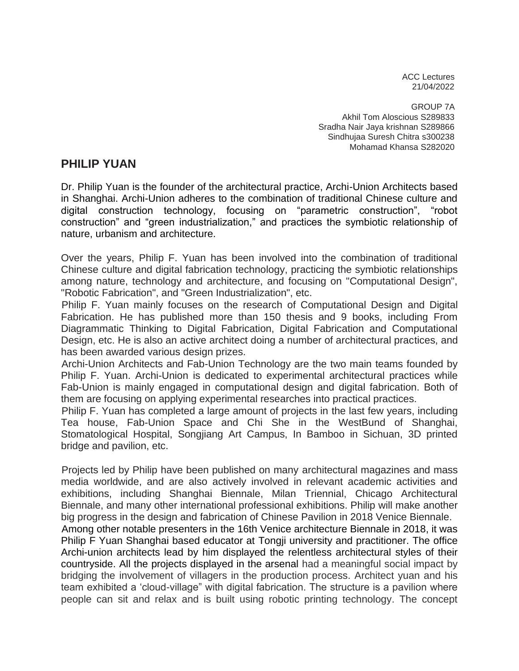ACC Lectures 21/04/2022

GROUP 7A Akhil Tom Aloscious S289833 Sradha Nair Jaya krishnan S289866 Sindhujaa Suresh Chitra s300238 Mohamad Khansa S282020

## **PHILIP YUAN**

Dr. Philip Yuan is the founder of the architectural practice, Archi-Union Architects based in Shanghai. Archi-Union adheres to the combination of traditional Chinese culture and digital construction technology, focusing on "parametric construction", "robot construction" and "green industrialization," and practices the symbiotic relationship of nature, urbanism and architecture.

Over the years, Philip F. Yuan has been involved into the combination of traditional Chinese culture and digital fabrication technology, practicing the symbiotic relationships among nature, technology and architecture, and focusing on "Computational Design", "Robotic Fabrication", and "Green Industrialization", etc.

Philip F. Yuan mainly focuses on the research of Computational Design and Digital Fabrication. He has published more than 150 thesis and 9 books, including From Diagrammatic Thinking to Digital Fabrication, Digital Fabrication and Computational Design, etc. He is also an active architect doing a number of architectural practices, and has been awarded various design prizes.

Archi-Union Architects and Fab-Union Technology are the two main teams founded by Philip F. Yuan. Archi-Union is dedicated to experimental architectural practices while Fab-Union is mainly engaged in computational design and digital fabrication. Both of them are focusing on applying experimental researches into practical practices.

Philip F. Yuan has completed a large amount of projects in the last few years, including Tea house, Fab-Union Space and Chi She in the WestBund of Shanghai, Stomatological Hospital, Songjiang Art Campus, In Bamboo in Sichuan, 3D printed bridge and pavilion, etc.

Projects led by Philip have been published on many architectural magazines and mass media worldwide, and are also actively involved in relevant academic activities and exhibitions, including Shanghai Biennale, Milan Triennial, Chicago Architectural Biennale, and many other international professional exhibitions. Philip will make another big progress in the design and fabrication of Chinese Pavilion in 2018 Venice Biennale. Among other notable presenters in the 16th Venice architecture Biennale in 2018, it was Philip F Yuan Shanghai based educator at Tongji university and practitioner. The office Archi-union architects lead by him displayed the relentless architectural styles of their countryside. All the projects displayed in the arsenal had a meaningful social impact by

bridging the involvement of villagers in the production process. Architect yuan and his team exhibited a 'cloud-village" with digital fabrication. The structure is a pavilion where people can sit and relax and is built using robotic printing technology. The concept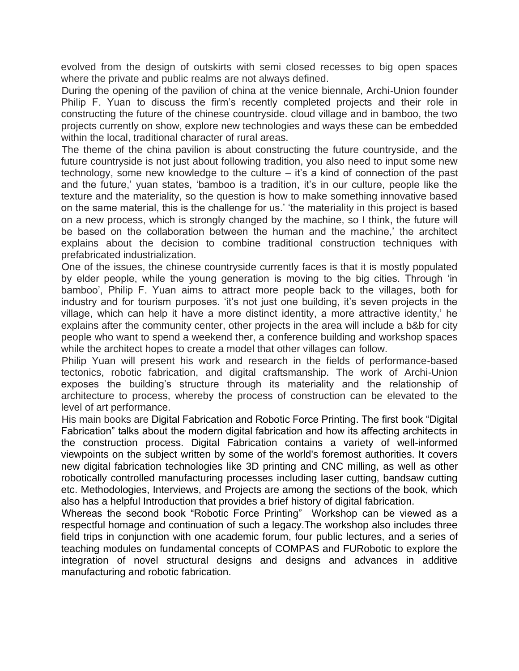evolved from the design of outskirts with semi closed recesses to big open spaces where the private and public realms are not always defined.

During the opening of the pavilion of china at the venice biennale, Archi-Union founder Philip F. Yuan to discuss the firm's recently completed projects and their role in constructing the future of the chinese countryside. cloud village and in bamboo, the two projects currently on show, explore new technologies and ways these can be embedded within the local, traditional character of rural areas.

The theme of the china pavilion is about constructing the future countryside, and the future countryside is not just about following tradition, you also need to input some new technology, some new knowledge to the culture – it's a kind of connection of the past and the future,' yuan states, 'bamboo is a tradition, it's in our culture, people like the texture and the materiality, so the question is how to make something innovative based on the same material, this is the challenge for us.' 'the materiality in this project is based on a new process, which is strongly changed by the machine, so I think, the future will be based on the collaboration between the human and the machine,' the architect explains about the decision to combine traditional construction techniques with prefabricated industrialization.

One of the issues, the chinese countryside currently faces is that it is mostly populated by elder people, while the young generation is moving to the big cities. Through 'in bamboo', Philip F. Yuan aims to attract more people back to the villages, both for industry and for tourism purposes. 'it's not just one building, it's seven projects in the village, which can help it have a more distinct identity, a more attractive identity,' he explains after the community center, other projects in the area will include a b&b for city people who want to spend a weekend ther, a conference building and workshop spaces while the architect hopes to create a model that other villages can follow.

Philip Yuan will present his work and research in the fields of performance-based tectonics, robotic fabrication, and digital craftsmanship. The work of Archi-Union exposes the building's structure through its materiality and the relationship of architecture to process, whereby the process of construction can be elevated to the level of art performance.

His main books are Digital Fabrication and Robotic Force Printing. The first book "Digital Fabrication" talks about the modern digital fabrication and how its affecting architects in the construction process. Digital Fabrication contains a variety of well-informed viewpoints on the subject written by some of the world's foremost authorities. It covers new digital fabrication technologies like 3D printing and CNC milling, as well as other robotically controlled manufacturing processes including laser cutting, bandsaw cutting etc. Methodologies, Interviews, and Projects are among the sections of the book, which also has a helpful Introduction that provides a brief history of digital fabrication.

Whereas the second book "Robotic Force Printing" Workshop can be viewed as a respectful homage and continuation of such a legacy.The workshop also includes three field trips in conjunction with one academic forum, four public lectures, and a series of teaching modules on fundamental concepts of COMPAS and FURobotic to explore the integration of novel structural designs and designs and advances in additive manufacturing and robotic fabrication.